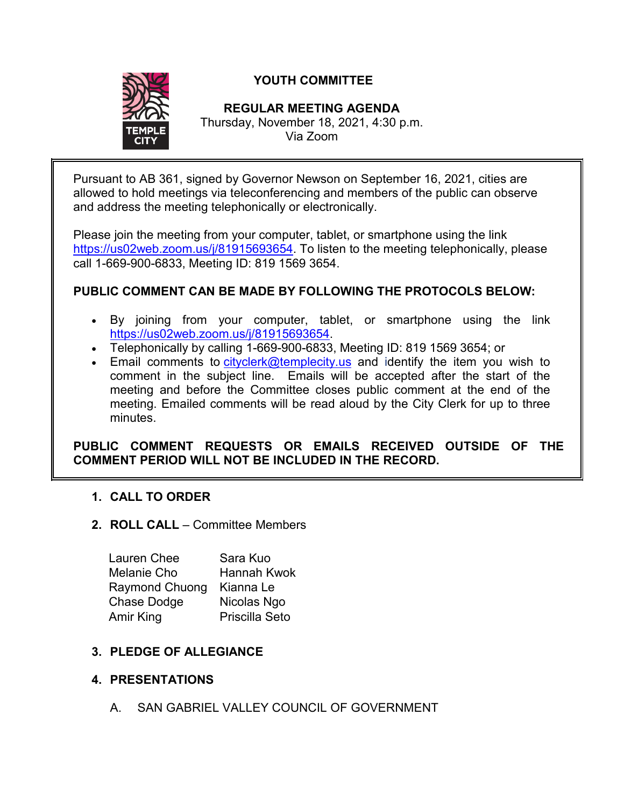

# **YOUTH COMMITTEE**

## **REGULAR MEETING AGENDA**

Thursday, November 18, 2021, 4:30 p.m. Via Zoom

Pursuant to AB 361, signed by Governor Newson on September 16, 2021, cities are allowed to hold meetings via teleconferencing and members of the public can observe and address the meeting telephonically or electronically.

Please join the meeting from your computer, tablet, or smartphone using the link [https://us02web.zoom.us/j/81915693654.](https://us02web.zoom.us/j/81915693654) To listen to the meeting telephonically, please call 1-669-900-6833, Meeting ID: 819 1569 3654.

## **PUBLIC COMMENT CAN BE MADE BY FOLLOWING THE PROTOCOLS BELOW:**

- By joining from your computer, tablet, or smartphone using the link [https://us02web.zoom.us/j/81915693654.](https://us02web.zoom.us/j/81915693654)
- Telephonically by calling 1-669-900-6833, Meeting ID: 819 1569 3654; or
- Email comments to [cityclerk@templecity.us](mailto:cityclerk@templecity.us) and identify the item you wish to comment in the subject line. Emails will be accepted after the start of the meeting and before the Committee closes public comment at the end of the meeting. Emailed comments will be read aloud by the City Clerk for up to three minutes.

**PUBLIC COMMENT REQUESTS OR EMAILS RECEIVED OUTSIDE OF THE COMMENT PERIOD WILL NOT BE INCLUDED IN THE RECORD.**

## **1. CALL TO ORDER**

**2. ROLL CALL** – Committee Members

| Lauren Chee           | Sara Kuo           |
|-----------------------|--------------------|
| <b>Melanie Cho</b>    | <b>Hannah Kwok</b> |
| <b>Raymond Chuong</b> | Kianna Le          |
| <b>Chase Dodge</b>    | Nicolas Ngo        |
| Amir King             | Priscilla Seto     |

## **3. PLEDGE OF ALLEGIANCE**

## **4. PRESENTATIONS**

A. SAN GABRIEL VALLEY COUNCIL OF GOVERNMENT